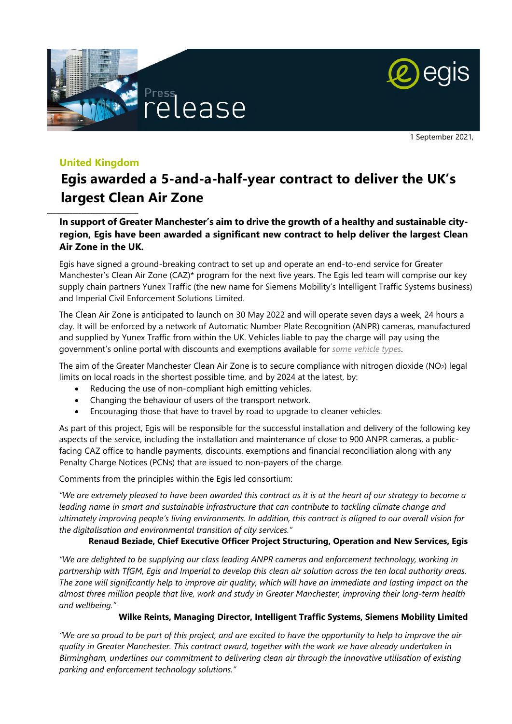



1 September 2021,

# **United Kingdom**

\_\_\_\_\_\_\_\_\_\_\_\_\_\_\_\_\_\_\_\_\_\_\_\_\_\_\_\_\_\_\_\_

# **Egis awarded a 5-and-a-half-year contract to deliver the UK's largest Clean Air Zone**

## **In support of Greater Manchester's aim to drive the growth of a healthy and sustainable cityregion, Egis have been awarded a significant new contract to help deliver the largest Clean Air Zone in the UK.**

Egis have signed a ground-breaking contract to set up and operate an end-to-end service for Greater Manchester's Clean Air Zone (CAZ)\* program for the next five years. The Egis led team will comprise our key supply chain partners Yunex Traffic (the new name for Siemens Mobility's Intelligent Traffic Systems business) and Imperial Civil Enforcement Solutions Limited.

The Clean Air Zone is anticipated to launch on 30 May 2022 and will operate seven days a week, 24 hours a day. It will be enforced by a network of Automatic Number Plate Recognition (ANPR) cameras, manufactured and supplied by Yunex Traffic from within the UK. Vehicles liable to pay the charge will pay using the government's online portal with discounts and exemptions available for *[some vehicle types](https://cleanairgm.com/)*.

The aim of the Greater Manchester Clean Air Zone is to secure compliance with nitrogen dioxide (NO<sub>2</sub>) legal limits on local roads in the shortest possible time, and by 2024 at the latest, by:

- Reducing the use of non-compliant high emitting vehicles.
- Changing the behaviour of users of the transport network.
- Encouraging those that have to travel by road to upgrade to cleaner vehicles.

As part of this project, Egis will be responsible for the successful installation and delivery of the following key aspects of the service, including the installation and maintenance of close to 900 ANPR cameras, a publicfacing CAZ office to handle payments, discounts, exemptions and financial reconciliation along with any Penalty Charge Notices (PCNs) that are issued to non-payers of the charge.

Comments from the principles within the Egis led consortium:

*"We are extremely pleased to have been awarded this contract as it is at the heart of our strategy to become a leading name in smart and sustainable infrastructure that can contribute to tackling climate change and ultimately improving people's living environments. In addition, this contract is aligned to our overall vision for the digitalisation and environmental transition of city services."* 

### **Renaud Beziade, Chief Executive Officer Project Structuring, Operation and New Services, Egis**

*"We are delighted to be supplying our class leading ANPR cameras and enforcement technology, working in partnership with TfGM, Egis and Imperial to develop this clean air solution across the ten local authority areas. The zone will significantly help to improve air quality, which will have an immediate and lasting impact on the almost three million people that live, work and study in Greater Manchester, improving their long-term health and wellbeing."* 

### **Wilke Reints, Managing Director, Intelligent Traffic Systems, Siemens Mobility Limited**

*"We are so proud to be part of this project, and are excited to have the opportunity to help to improve the air quality in Greater Manchester. This contract award, together with the work we have already undertaken in Birmingham, underlines our commitment to delivering clean air through the innovative utilisation of existing parking and enforcement technology solutions."*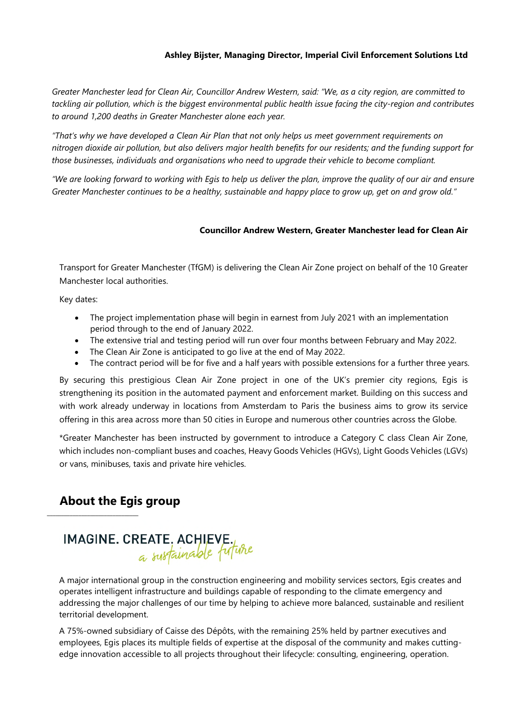### **Ashley Bijster, Managing Director, Imperial Civil Enforcement Solutions Ltd**

*Greater Manchester lead for Clean Air, Councillor Andrew Western, said: "We, as a city region, are committed to tackling air pollution, which is the biggest environmental public health issue facing the city-region and contributes to around 1,200 deaths in Greater Manchester alone each year.* 

*"That's why we have developed a Clean Air Plan that not only helps us meet government requirements on nitrogen dioxide air pollution, but also delivers major health benefits for our residents; and the funding support for those businesses, individuals and organisations who need to upgrade their vehicle to become compliant.* 

*"We are looking forward to working with Egis to help us deliver the plan, improve the quality of our air and ensure Greater Manchester continues to be a healthy, sustainable and happy place to grow up, get on and grow old."* 

#### **Councillor Andrew Western, Greater Manchester lead for Clean Air**

Transport for Greater Manchester (TfGM) is delivering the Clean Air Zone project on behalf of the 10 Greater Manchester local authorities.

Key dates:

- The project implementation phase will begin in earnest from July 2021 with an implementation period through to the end of January 2022.
- The extensive trial and testing period will run over four months between February and May 2022.
- The Clean Air Zone is anticipated to go live at the end of May 2022.
- The contract period will be for five and a half years with possible extensions for a further three years.

By securing this prestigious Clean Air Zone project in one of the UK's premier city regions, Egis is strengthening its position in the automated payment and enforcement market. Building on this success and with work already underway in locations from Amsterdam to Paris the business aims to grow its service offering in this area across more than 50 cities in Europe and numerous other countries across the Globe.

\*Greater Manchester has been instructed by government to introduce a Category C class Clean Air Zone, which includes non-compliant buses and coaches, Heavy Goods Vehicles (HGVs), Light Goods Vehicles (LGVs) or vans, minibuses, taxis and private hire vehicles.

# **About the Egis group**

 $\_$ 

# IMAGINE. CREATE. ACHIEVE.

A major international group in the construction engineering and mobility services sectors, Egis creates and operates intelligent infrastructure and buildings capable of responding to the climate emergency and addressing the major challenges of our time by helping to achieve more balanced, sustainable and resilient territorial development.

A 75%-owned subsidiary of Caisse des Dépôts, with the remaining 25% held by partner executives and employees, Egis places its multiple fields of expertise at the disposal of the community and makes cuttingedge innovation accessible to all projects throughout their lifecycle: consulting, engineering, operation.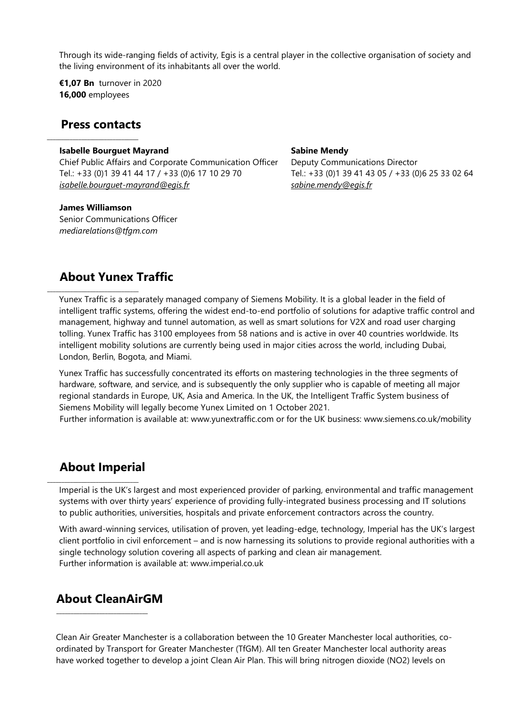Through its wide-ranging fields of activity, Egis is a central player in the collective organisation of society and the living environment of its inhabitants all over the world.

**€1,07 Bn** turnover in 2020 **16,000** employees

# **Press contacts**

 $\_$ 

### **Isabelle Bourguet Mayrand**

Chief Public Affairs and Corporate Communication Officer Tel.: +33 (0)1 39 41 44 17 / +33 (0)6 17 10 29 70 *[isabelle.bourguet-mayrand@egis.fr](mailto:isabelle.bourguet-mayrand@egis.fr)* 

### **James Williamson**

 $\_$ 

Senior Communications Officer *mediarelations@tfgm.com* 

### **Sabine Mendy**  Deputy Communications Director Tel.: +33 (0)1 39 41 43 05 / +33 (0)6 25 33 02 64 *[sabine.mendy@egis.fr](mailto:sabine.mendy@egis.fr)*

# **About Yunex Traffic**

Yunex Traffic is a separately managed company of Siemens Mobility. It is a global leader in the field of intelligent traffic systems, offering the widest end-to-end portfolio of solutions for adaptive traffic control and management, highway and tunnel automation, as well as smart solutions for V2X and road user charging tolling. Yunex Traffic has 3100 employees from 58 nations and is active in over 40 countries worldwide. Its intelligent mobility solutions are currently being used in major cities across the world, including Dubai, London, Berlin, Bogota, and Miami.

Yunex Traffic has successfully concentrated its efforts on mastering technologies in the three segments of hardware, software, and service, and is subsequently the only supplier who is capable of meeting all major regional standards in Europe, UK, Asia and America. In the UK, the Intelligent Traffic System business of Siemens Mobility will legally become Yunex Limited on 1 October 2021.

Further information is available at: [www.yunextraffic.com](http://www.yunextraffic.com/) or for the UK business: [www.siemens.co.uk/mobility](http://www.siemens.co.uk/mobility)

# **About Imperial**

 $\_$ 

Imperial is the UK's largest and most experienced provider of parking, environmental and traffic management systems with over thirty years' experience of providing fully-integrated business processing and IT solutions to public authorities, universities, hospitals and private enforcement contractors across the country.

With award-winning services, utilisation of proven, yet leading-edge, technology, Imperial has the UK's largest client portfolio in civil enforcement – and is now harnessing its solutions to provide regional authorities with a single technology solution covering all aspects of parking and clean air management. Further information is available at: www.imperial.co.uk

# **About CleanAirGM**

\_\_\_\_\_\_\_\_\_\_\_\_\_\_\_\_\_\_\_\_\_\_\_\_\_\_\_\_\_\_\_\_

Clean Air Greater Manchester is a collaboration between the 10 Greater Manchester local authorities, coordinated by Transport for Greater Manchester (TfGM). All ten Greater Manchester local authority areas have worked together to develop a joint Clean Air Plan. This will bring nitrogen dioxide (NO2) levels on